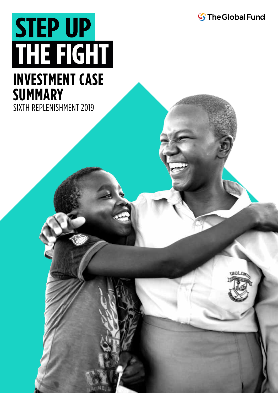**S**The Global Fund

# **STEP UP** THE FIGHT

### **INVESTMENT CASE SUMMARY**

SIXTH REPLENISHMENT 2019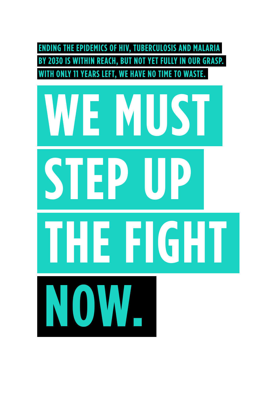

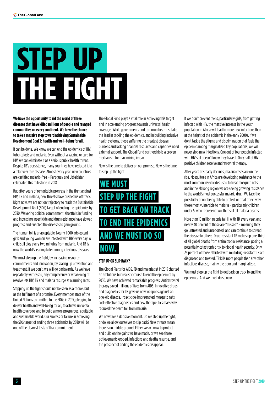# **STEP UP** THE FIGHT

**We have the opportunity to rid the world of three diseases that have killed millions of people and ravaged communities on every continent. We have the chance to take a massive step toward achieving Sustainable Development Goal 3: health and well-being for all.**

It can be done. We know we can end the epidemics of HIV, tuberculosis and malaria. Even without a vaccine or cure for HIV, we can eliminate it as a serious public health threat. Despite TB's persistence, many countries have reduced it to a relatively rare disease. Almost every year, new countries are certified malaria-free – Paraguay and Uzbekistan celebrated this milestone in 2018.

But after years of remarkable progress in the fight against HIV, TB and malaria, new threats have pushed us off track. Right now, we are not on trajectory to reach the Sustainable Development Goal (SDG) target of ending the epidemics by 2030. Wavering political commitment, shortfalls in funding and increasing insecticide and drug resistance have slowed progress and enabled the diseases to gain ground.

The human toll is unacceptable: Nearly 1,000 adolescent girls and young women are infected with HIV every day. A child still dies every two minutes from malaria. And TB is now the world's leading killer among infectious diseases.

We must step up the fight, by increasing resource commitments and innovation, by scaling up prevention and treatment. If we don't, we will go backwards. As we have repeatedly witnessed, any complacency or weakening of resolve lets HIV, TB and malaria resurge at alarming rates.

Stepping up the fight should not be seen as a choice, but as the fulfilment of a promise. Every member state of the United Nations committed to the SDGs in 2015, pledging to deliver health and well-being for all, to achieve universal health coverage, and to build a more prosperous, equitable and sustainable world. Our success or failure in achieving the SDG target of ending three epidemics by 2030 will be one of the clearest tests of that commitment.

The Global Fund plays a vital role in achieving this target and in accelerating progress towards universal health coverage. While governments and communities must take the lead in tackling the epidemics, and in building inclusive health systems, those suffering the greatest disease burdens and lacking financial resources and capacities need external support. The Global Fund partnership is a proven mechanism for maximizing impact.

Now is the time to deliver on our promise. Now is the time to step up the fight.

#### **WE MUST STEP UP THE FIGHT TO GET BACK ON TRACK TO END THE EPIDEMICS AND WE MUST DO SO NOW.**

#### **STEP UP OR SLIP BACK?**

The Global Plans for AIDS, TB and malaria set in 2015 charted an ambitious but realistic course to end the epidemics by 2030. We have achieved remarkable progress. Antiretroviral therapy saved millions of lives from AIDS. Innovative drugs and diagnostics for TB gave us new weapons against an age-old disease. Insecticide-impregnated mosquito nets, cost-effective diagnostics and new therapeutics massively reduced the death toll from malaria.

We now face a decisive moment. Do we step up the fight, or do we allow ourselves to slip back? New threats mean there is no middle ground. Either we act now to protect and build on the gains we have made, or we see those achievements eroded, infections and deaths resurge, and the prospect of ending the epidemics disappear.

If we don't prevent teens, particularly girls, from getting infected with HIV, the massive increase in the youth population in Africa will lead to more new infections than at the height of the epidemic in the early 2000s. If we don't tackle the stigma and discrimination that fuels the epidemic among marginalized key populations, we will never stop new infections. One out of four people infected with HIV still doesn't know they have it. Only half of HIV positive children receive antiretroviral therapy.

After years of steady declines, malaria cases are on the rise. Mosquitoes in Africa are developing resistance to the most common insecticides used to treat mosquito nets, and in the Mekong region we are seeing growing resistance to the world's most successful malaria drug. We face the possibility of not being able to protect or treat effectively those most vulnerable to malaria – particularly children under 5, who represent two-thirds of all malaria deaths.

More than 10 million people fall ill with TB every year, and nearly 40 percent of those are "missed" – meaning they go untreated and unreported, and can continue to spread the disease to others. Drug-resistant TB makes up one-third of all global deaths from antimicrobial resistance, posing a potentially catastrophic risk to global health security. Only 25 percent of those afflicted with multidrug-resistant TB are diagnosed and treated. TB kills more people than any other infectious disease, mainly the poor and marginalized.

We must step up the fight to get back on track to end the epidemics. And we must do so now.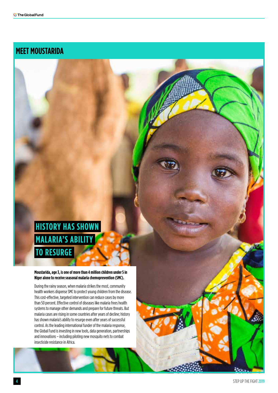#### **MEET MOUSTARIDA**

#### **HISTORY HAS SHOWN MALARIA'S ABILITY TO RESURGE**

#### **Moustarida, age 3, is one of more than 4 million children under 5 in Niger alone to receive seasonal malaria chemoprevention (SMC).**

During the rainy season, when malaria strikes the most, community health workers dispense SMC to protect young children from the disease. This cost-effective, targeted intervention can reduce cases by more than 50 percent. Effective control of diseases like malaria frees health systems to manage other demands and prepare for future threats. But malaria cases are rising in some countries after years of decline; history has shown malaria's ability to resurge even after years of successful control. As the leading international funder of the malaria response, the Global Fund is investing in new tools, data generation, partnerships and innovations – including piloting new mosquito nets to combat insecticide resistance in Africa.

<u>Van</u>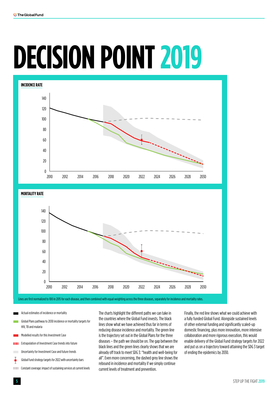# **DECISION POINT 2019**





Lines are first normalized to 100 in 2015 for each disease, and then combined with equal weighting across the three diseases, separately for incidence and mortality rates.

- Actual estimates of incidence or mortality
- Global Plans pathway to 2030 incidence or mortality targets for HIV, TB and malaria
- Modelled results for this Investment Case
- **EXTREM** Extrapolation of Investment Case trends into future
- **Uncertainty for Investment Case and future trends**
- Global Fund strategy targets for 2022 with uncertainty bars
- **THE Constant coverage: impact of sustaining services at current levels**

The charts highlight the different paths we can take in the countries where the Global Fund invests. The black lines show what we have achieved thus far in terms of reducing disease incidence and mortality. The green line is the trajectory set out in the Global Plans for the three diseases – the path we should be on. The gap between the black lines and the green lines clearly shows that we are already off track to meet SDG 3: "health and well-being for all". Even more concerning, the dashed grey line shows the rebound in incidence and mortality if we simply continue current levels of treatment and prevention.

Finally, the red line shows what we could achieve with a fully funded Global Fund. Alongside sustained levels of other external funding and significantly scaled-up domestic financing, plus more innovation, more intensive collaboration and more rigorous execution, this would enable delivery of the Global Fund strategy targets for 2022 and put us on a trajectory toward attaining the SDG 3 target of ending the epidemics by 2030.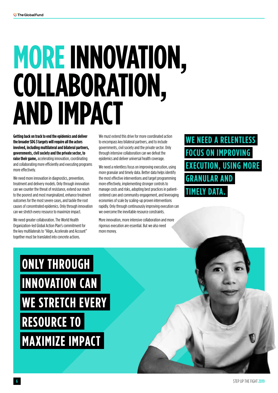# **MORE INNOVATION, COLLABORATION, AND IMPACT**

**Getting back on track to end the epidemics and deliver the broader SDG 3 targets will require all the actors involved, including multilateral and bilateral partners, governments, civil society and the private sector, to raise their game,** accelerating innovation, coordinating and collaborating more efficiently and executing programs more effectively.

We need more innovation in diagnostics, prevention, treatment and delivery models. Only through innovation can we counter the threat of resistance, extend our reach to the poorest and most marginalized, enhance treatment outcomes for the most severe cases, and tackle the root causes of concentrated epidemics. Only through innovation can we stretch every resource to maximize impact.

We need greater collaboration. The World Health Organization-led Global Action Plan's commitment for the key multilaterals to "Align, Accelerate and Account" together must be translated into concrete actions.

We must extend this drive for more coordinated action to encompass key bilateral partners, and to include governments, civil society and the private sector. Only through intensive collaboration can we defeat the epidemics and deliver universal health coverage.

We need a relentless focus on improving execution, using more granular and timely data. Better data helps identify the most effective interventions and target programming more effectively, implementing stronger controls to manage costs and risks, adopting best practices in patientcentered care and community engagement, and leveraging economies of scale by scaling-up proven interventions rapidly. Only through continuously improving execution can we overcome the inevitable resource constraints.

More innovation, more intensive collaboration and more rigorous execution are essential. But we also need more money.

**WE NEED A RELENTLESS FOCUS ON IMPROVING EXECUTION, USING MORE GRANULAR AND TIMELY DATA.**

## **ONLY THROUGH INNOVATION CAN WE STRETCH EVERY RESOURCE TO MAXIMIZE IMPACT**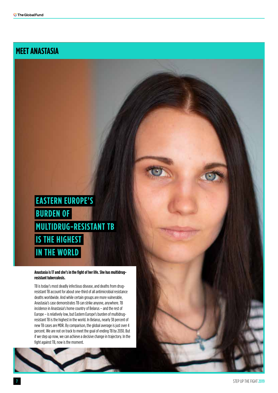#### **MEET ANASTASIA**

#### **EASTERN EUROPE'S BURDEN OF MULTIDRUG-RESISTANT TB IS THE HIGHEST IN THE WORLD**

#### **Anastasia is 17 and she's in the fight of her life. She has multidrugresistant tuberculosis.**

TB is today's most deadly infectious disease, and deaths from drugresistant TB account for about one-third of all antimicrobial resistance deaths worldwide. And while certain groups are more vulnerable, Anastasia's case demonstrates TB can strike anyone, anywhere. TB incidence in Anastasia's home country of Belarus – and the rest of Europe – is relatively low, but Eastern Europe's burden of multidrugresistant TB is the highest in the world. In Belarus, nearly 38 percent of new TB cases are MDR. By comparison, the global average is just over 4 percent. We are not on track to meet the goal of ending TB by 2030. But if we step up now, we can achieve a decisive change in trajectory. In the fight against TB, now is the moment.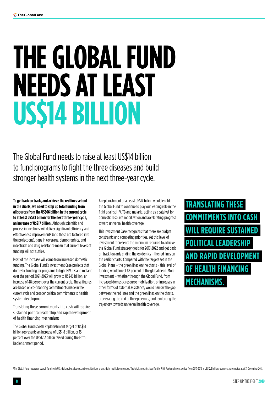# **THE GLOBAL FUND NEEDS AT LEAST US\$14 BILLION**

The Global Fund needs to raise at least US\$14 billion to fund programs to fight the three diseases and build stronger health systems in the next three-year cycle.

**To get back on track, and achieve the red lines set out in the charts, we need to step up total funding from all sources from the US\$66 billion in the current cycle to at least US\$83 billion for the next three-year cycle, an increase of US\$17 billion.** Although scientific and process innovations will deliver significant efficiency and effectiveness improvements (and these are factored into the projections), gaps in coverage, demographics, and insecticide and drug resistance mean that current levels of funding will not suffice.

Most of the increase will come from increased domestic funding. The Global Fund's Investment Case projects that domestic funding for programs to fight HIV, TB and malaria over the period 2021-2023 will grow to US\$46 billion, an increase of 48 percent over the current cycle. These figures are based on co-financing commitments made in the current cycle and broader political commitments to health system development.

Translating these commitments into cash will require sustained political leadership and rapid development of health financing mechanisms.

The Global Fund's Sixth Replenishment target of US\$14 billion represents an increase of US\$1.8 billion, or 15 percent over the US\$12.2 billion raised during the Fifth Replenishment period.1

A replenishment of at least US\$14 billion would enable the Global Fund to continue to play our leading role in the fight against HIV, TB and malaria, acting as a catalyst for domestic resource mobilization and accelerating progress toward universal health coverage.

This Investment Case recognizes that there are budget constraints and competing priorities. Yet this level of investment represents the minimum required to achieve the Global Fund strategy goals for 2017-2022 and get back on track towards ending the epidemics – the red lines on the earlier charts. Compared with the targets set in the Global Plans – the green lines on the charts – this level of funding would meet 82 percent of the global need. More investment – whether through the Global Fund, from increased domestic resource mobilization, or increases in other forms of external assistance, would narrow the gap between the red lines and the green lines on the charts, accelerating the end of the epidemics, and reinforcing the trajectory towards universal health coverage.

**TRANSLATING THESE COMMITMENTS INTO CASH REQUIRE SUSTA** I FADFRSH **AND RAPID DEVELOPMENT OF HEALTH FINANCING MECHANISMS.**

<sup>1</sup>The Global Fund measures overall funding in U.S. dollars, but pledges and contributions are made in multiple currencies. The total amount raised for the Fifth Replenishment period from 2012-2019 is US\$12.2 billion, usin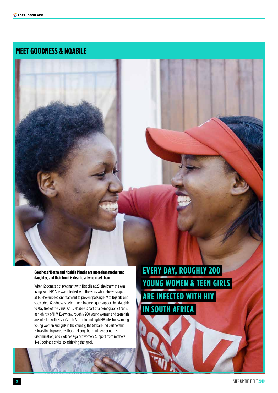#### **MEET GOODNESS & NQABILE**

#### **Goodness Mbatha and Nqabile Mbatha are more than mother and daughter, and their bond is clear to all who meet them.**

When Goodness got pregnant with Nqabile at 23, she knew she was living with HIV. She was infected with the virus when she was raped at 19. She enrolled on treatment to prevent passing HIV to Nqabile and succeeded. Goodness is determined to once again support her daughter to stay free of the virus. At 16, Nqabile is part of a demographic that is at high risk of HIV. Every day, roughly 200 young women and teen girls are infected with HIV in South Africa. To end high HIV infections among young women and girls in the country, the Global Fund partnership is investing in programs that challenge harmful gender norms, discrimination, and violence against women. Support from mothers like Goodness is vital to achieving that goal.

**EVERY DAY, ROUGHLY 200 YOUNG WOMEN & TEEN GIRLS ARE INFECTED WITH HIV IN SOUTH AFRICA**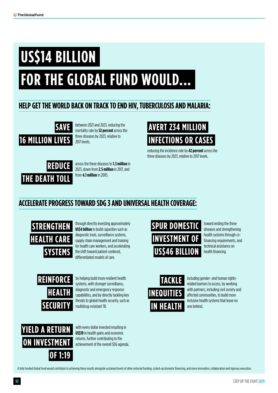## **US\$14 BILLION**

## **FOR THE GLOBAL FUND WOULD...**

#### **HELP GET THE WORLD BACK ON TRACK TO END HIV, TUBERCULOSIS AND MALARIA:**



between 2021 and 2023, reducing the mortality rate by **52 percent** across the three diseases by 2023, relative to 2017 levels.



across the three diseases to **1.3 million** in 2023, down from **2.5 million** in 2017, and from **4.1 million** in 2005.



reducing the incidence rate by **42 percent** across the three diseases by 2023, relative to 2017 levels.

#### **ACCELERATE PROGRESS TOWARD SDG 3 AND UNIVERSAL HEALTH COVERAGE:**



through directly investing approximately **US\$4 billion** to build capacities such as diagnostic tools, surveillance systems, supply chain management and training for health care workers, and accelerating the shift toward patient-centered, differentiated models of care.



by helping build more resilient health systems, with stronger surveillance, diagnostic and emergency response capabilities, and by directly tackling key threats to global health security, such as multidrug-resistant TB.



with every dollar invested resulting in **US\$19** in health gains and economic returns, further contributing to the achievement of the overall SDG agenda.



toward ending the three diseases and strengthening health systems through cofinancing requirements, and technical assistance on health financing.



including gender- and human rightsrelated barriers to access, by working with partners, including civil society and affected communities, to build more inclusive health systems that leave no one behind.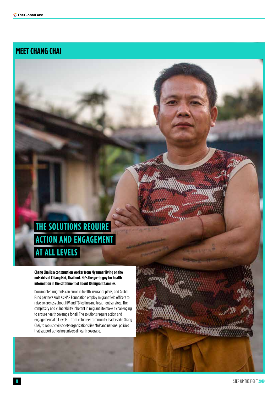#### **MEET CHANG CHAI**

#### **THE SOLUTIONS REQUIRE ACTION AND ENGAGEMENT AT ALL LEVELS**

**Chang Chai is a construction worker from Myanmar living on the outskirts of Chiang Mai, Thailand. He's the go-to guy for health information in the settlement of about 10 migrant families.**

Documented migrants can enroll in health insurance plans, and Global Fund partners such as MAP Foundation employ migrant field officers to raise awareness about HIV and TB testing and treatment services. The complexity and vulnerability inherent in migrant life make it challenging to ensure health coverage for all. The solutions require action and engagement at all levels – from volunteer community leaders like Chang Chai, to robust civil society organizations like MAP and national policies that support achieving universal health coverage.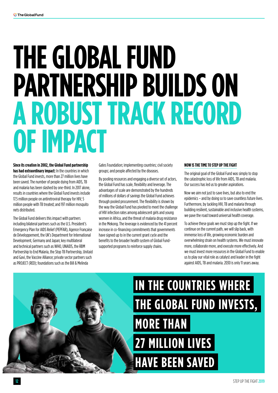## **THE GLOBAL FUND PARTNERSHIP BUILDS ON A ROBUST TRACK RECORD OF IMPACT**

**Since its creation in 2002, the Global Fund partnership has had extraordinary impact:** In the countries in which the Global Fund invests, more than 27 million lives have been saved. The number of people dying from AIDS, TB and malaria has been slashed by one-third. In 2017 alone, results in countries where the Global Fund invests include 17.5 million people on antiretroviral therapy for HIV; 5 million people with TB treated; and 197 million mosquito nets distributed.

The Global Fund delivers this impact with partners including bilateral partners such as the U.S. President's Emergency Plan for AIDS Relief (PEPFAR), Agence Française de Développement, the UK's Department for International Development, Germany and Japan; key multilateral and technical partners such as WHO, UNAIDS, the RBM Partnership to End Malaria, the Stop TB Partnership, Unitaid and Gavi, the Vaccine Alliance; private sector partners such as PROJECT (RED); foundations such as the Bill & Melinda

Gates Foundation; implementing countries; civil society groups; and people affected by the diseases.

By pooling resources and engaging a diverse set of actors, the Global Fund has scale, flexibility and leverage. The advantages of scale are demonstrated by the hundreds of millions of dollars of savings the Global Fund achieves through pooled procurement. The flexibility is shown by the way the Global Fund has pivoted to meet the challenge of HIV infection rates among adolescent girls and young women in Africa, and the threat of malaria drug resistance in the Mekong. The leverage is evidenced by the 41 percent increase in co-financing commitments that governments have signed up to in the current grant cycle and the benefits to the broader health system of Global Fundsupported programs to reinforce supply chains.

#### **NOW IS THE TIME TO STEP UP THE FIGHT**

The original goal of the Global Fund was simply to stop the catastrophic loss of life from AIDS, TB and malaria. Our success has led us to greater aspirations.

Now we aim not just to save lives, but also to end the epidemics – and by doing so to save countless future lives. Furthermore, by tackling HIV, TB and malaria through building resilient, sustainable and inclusive health systems, we pave the road toward universal health coverage.

To achieve these goals we must step up the fight. If we continue on the current path, we will slip back, with immense loss of life, growing economic burden and overwhelming strain on health systems. We must innovate more, collaborate more, and execute more effectively. And we must invest more resources in the Global Fund to enable us to play our vital role as catalyst and leader in the fight against AIDS, TB and malaria. 2030 is only 11 years away.

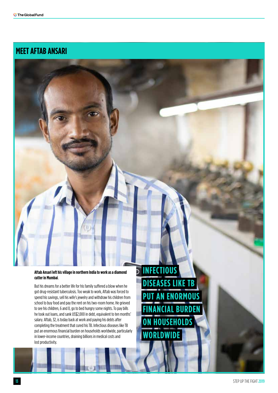#### **MEET AFTAB ANSARI**



**PUT AN ENORMOUS**

**FINANCIAL BURDEN**

**ON HOUSEHOLDS**

**WORLDWIDE**

But his dreams for a better life for his family suffered a blow when he got drug-resistant tuberculosis. Too weak to work, Aftab was forced to spend his savings, sell his wife's jewelry and withdraw his children from school to buy food and pay the rent on his two-room home. He grieved to see his children, 6 and 8, go to bed hungry some nights. To pay bills he took out loans, and sank US\$2,000 in debt, equivalent to ten months' salary. Aftab, 32, is today back at work and paying his debts after completing the treatment that cured his TB. Infectious diseases like TB put an enormous financial burden on households worldwide, particularly in lower-income countries, draining billions in medical costs and lost productivity.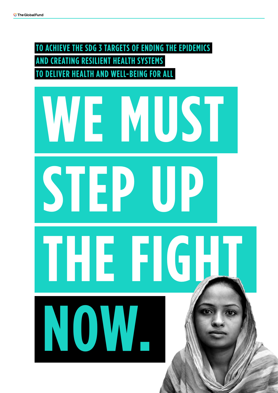**TO ACHIEVE THE SDG 3 TARGETS OF ENDING THE EPIDEMICS CREATING RESILIENT HEALTH SYSTEMS TO DELIVER HEALTH AND WELL-BEING FOR ALL**